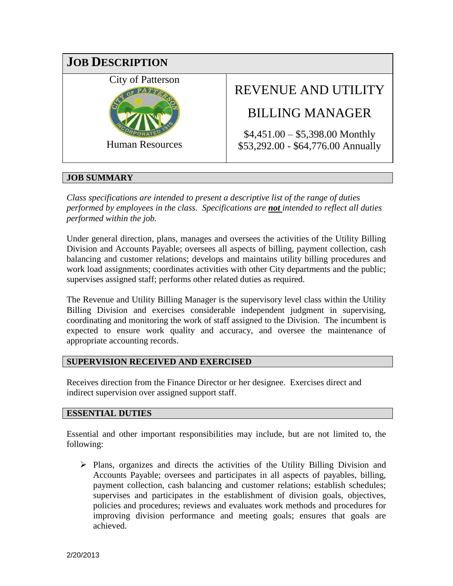

### **JOB SUMMARY**

*Class specifications are intended to present a descriptive list of the range of duties performed by employees in the class. Specifications are not intended to reflect all duties performed within the job.*

Under general direction, plans, manages and oversees the activities of the Utility Billing Division and Accounts Payable; oversees all aspects of billing, payment collection, cash balancing and customer relations; develops and maintains utility billing procedures and work load assignments; coordinates activities with other City departments and the public; supervises assigned staff; performs other related duties as required.

The Revenue and Utility Billing Manager is the supervisory level class within the Utility Billing Division and exercises considerable independent judgment in supervising, coordinating and monitoring the work of staff assigned to the Division. The incumbent is expected to ensure work quality and accuracy, and oversee the maintenance of appropriate accounting records.

#### **SUPERVISION RECEIVED AND EXERCISED**

Receives direction from the Finance Director or her designee. Exercises direct and indirect supervision over assigned support staff.

#### **ESSENTIAL DUTIES**

Essential and other important responsibilities may include, but are not limited to, the following:

 $\triangleright$  Plans, organizes and directs the activities of the Utility Billing Division and Accounts Payable; oversees and participates in all aspects of payables, billing, payment collection, cash balancing and customer relations; establish schedules; supervises and participates in the establishment of division goals, objectives, policies and procedures; reviews and evaluates work methods and procedures for improving division performance and meeting goals; ensures that goals are achieved.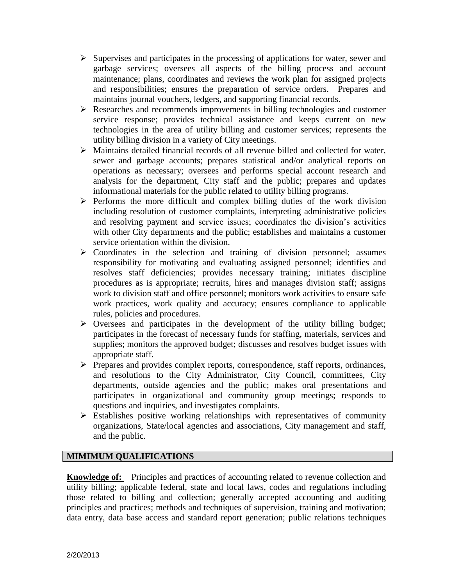- $\triangleright$  Supervises and participates in the processing of applications for water, sewer and garbage services; oversees all aspects of the billing process and account maintenance; plans, coordinates and reviews the work plan for assigned projects and responsibilities; ensures the preparation of service orders. Prepares and maintains journal vouchers, ledgers, and supporting financial records.
- Researches and recommends improvements in billing technologies and customer service response; provides technical assistance and keeps current on new technologies in the area of utility billing and customer services; represents the utility billing division in a variety of City meetings.
- Maintains detailed financial records of all revenue billed and collected for water, sewer and garbage accounts; prepares statistical and/or analytical reports on operations as necessary; oversees and performs special account research and analysis for the department, City staff and the public; prepares and updates informational materials for the public related to utility billing programs.
- $\triangleright$  Performs the more difficult and complex billing duties of the work division including resolution of customer complaints, interpreting administrative policies and resolving payment and service issues; coordinates the division's activities with other City departments and the public; establishes and maintains a customer service orientation within the division.
- $\triangleright$  Coordinates in the selection and training of division personnel; assumes responsibility for motivating and evaluating assigned personnel; identifies and resolves staff deficiencies; provides necessary training; initiates discipline procedures as is appropriate; recruits, hires and manages division staff; assigns work to division staff and office personnel; monitors work activities to ensure safe work practices, work quality and accuracy; ensures compliance to applicable rules, policies and procedures.
- $\triangleright$  Oversees and participates in the development of the utility billing budget; participates in the forecast of necessary funds for staffing, materials, services and supplies; monitors the approved budget; discusses and resolves budget issues with appropriate staff.
- $\triangleright$  Prepares and provides complex reports, correspondence, staff reports, ordinances, and resolutions to the City Administrator, City Council, committees, City departments, outside agencies and the public; makes oral presentations and participates in organizational and community group meetings; responds to questions and inquiries, and investigates complaints.
- $\triangleright$  Establishes positive working relationships with representatives of community organizations, State/local agencies and associations, City management and staff, and the public.

# **MIMIMUM QUALIFICATIONS**

**Knowledge of:** Principles and practices of accounting related to revenue collection and utility billing; applicable federal, state and local laws, codes and regulations including those related to billing and collection; generally accepted accounting and auditing principles and practices; methods and techniques of supervision, training and motivation; data entry, data base access and standard report generation; public relations techniques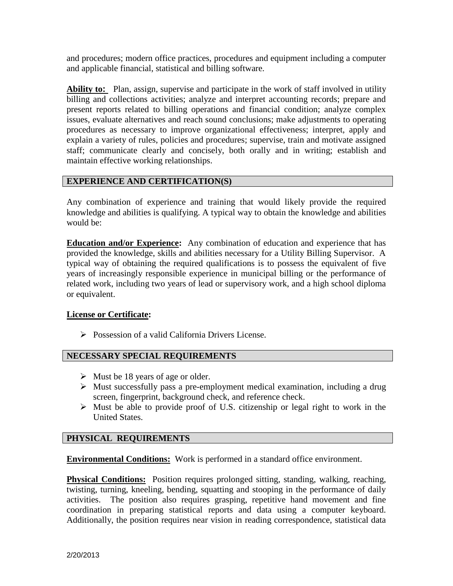and procedures; modern office practices, procedures and equipment including a computer and applicable financial, statistical and billing software.

**Ability to:** Plan, assign, supervise and participate in the work of staff involved in utility billing and collections activities; analyze and interpret accounting records; prepare and present reports related to billing operations and financial condition; analyze complex issues, evaluate alternatives and reach sound conclusions; make adjustments to operating procedures as necessary to improve organizational effectiveness; interpret, apply and explain a variety of rules, policies and procedures; supervise, train and motivate assigned staff; communicate clearly and concisely, both orally and in writing; establish and maintain effective working relationships.

### **EXPERIENCE AND CERTIFICATION(S)**

Any combination of experience and training that would likely provide the required knowledge and abilities is qualifying. A typical way to obtain the knowledge and abilities would be:

**Education and/or Experience:** Any combination of education and experience that has provided the knowledge, skills and abilities necessary for a Utility Billing Supervisor. A typical way of obtaining the required qualifications is to possess the equivalent of five years of increasingly responsible experience in municipal billing or the performance of related work, including two years of lead or supervisory work, and a high school diploma or equivalent.

#### **License or Certificate:**

 $\triangleright$  Possession of a valid California Drivers License.

## **NECESSARY SPECIAL REQUIREMENTS**

- $\triangleright$  Must be 18 years of age or older.
- Must successfully pass a pre-employment medical examination, including a drug screen, fingerprint, background check, and reference check.
- $\triangleright$  Must be able to provide proof of U.S. citizenship or legal right to work in the United States.

### **PHYSICAL REQUIREMENTS**

**Environmental Conditions:** Work is performed in a standard office environment.

**Physical Conditions:** Position requires prolonged sitting, standing, walking, reaching, twisting, turning, kneeling, bending, squatting and stooping in the performance of daily activities. The position also requires grasping, repetitive hand movement and fine coordination in preparing statistical reports and data using a computer keyboard. Additionally, the position requires near vision in reading correspondence, statistical data